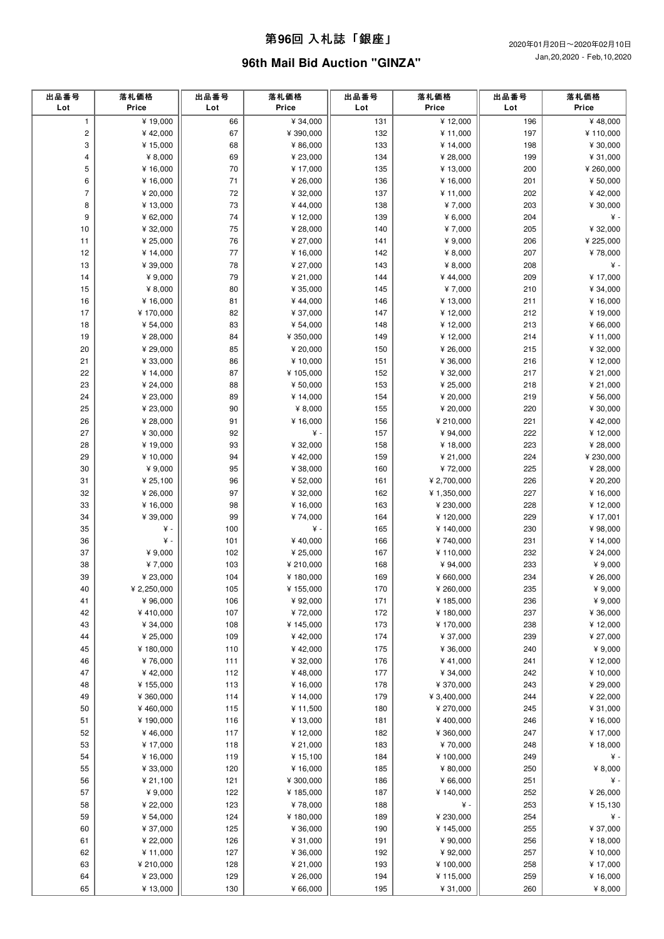### 第**96**回 ⼊札誌「銀座」

# **96th Mail Bid Auction "GINZA"**

| 出品番号<br>Lot    | 落札価格<br>Price           | 出品番号<br>Lot | 落札価格<br>Price         | 出品番号<br>Lot | 落札価格<br>Price         | 出品番号<br>Lot | 落札価格<br>Price         |
|----------------|-------------------------|-------------|-----------------------|-------------|-----------------------|-------------|-----------------------|
| $\mathbf{1}$   | ¥19,000                 | 66          | ¥ 34,000              | 131         | ¥ 12,000              | 196         | ¥48,000               |
| $\mathbf 2$    | ¥42,000                 | 67          | ¥ 390,000             | 132         | ¥ 11,000              | 197         | ¥110,000              |
| 3              | ¥ 15,000                | 68          | ¥ 86,000              | 133         | ¥ 14,000              | 198         | ¥ 30,000              |
| 4              | ¥ $8,000$               | 69          | ¥ 23,000              | 134         | ¥ 28,000              | 199         | ¥ 31,000              |
| 5              | ¥ 16,000                | 70          | ¥ 17,000              | 135         | ¥ 13,000              | 200         | ¥ 260,000             |
| 6              | ¥ 16,000                | $71$        | ¥ 26,000              | 136         | ¥ 16,000              | 201         | ¥ 50,000              |
| $\overline{7}$ | ¥ 20,000                | 72          | ¥ 32,000              | 137         | ¥ 11,000              | 202         | ¥42,000               |
| 8              | ¥ 13,000                | 73          | ¥44,000               | 138         | ¥7,000                | 203         | ¥ 30,000              |
| 9              | ¥ 62,000                | 74          | ¥12,000               | 139         | ¥ $6,000$             | 204         | ¥ -                   |
| 10<br>11       | ¥ 32,000<br>¥ 25,000    | 75<br>76    | ¥ 28,000<br>¥ 27,000  | 140<br>141  | ¥7,000<br>¥ 9,000     | 205<br>206  | ¥ 32,000<br>¥ 225,000 |
| 12             | ¥ 14,000                | 77          | ¥16,000               | 142         | ¥ 8,000               | 207         | ¥78,000               |
| 13             | ¥ 39,000                | 78          | ¥ 27,000              | 143         | ¥ 8,000               | 208         | ¥ -                   |
| 14             | ¥ 9,000                 | 79          | ¥ 21,000              | 144         | ¥44,000               | 209         | ¥17,000               |
| 15             | ¥ $8,000$               | 80          | ¥ 35,000              | 145         | ¥7,000                | 210         | ¥ 34,000              |
| 16             | ¥ 16,000                | 81          | ¥44,000               | 146         | ¥ 13,000              | 211         | ¥ 16,000              |
| 17             | ¥170,000                | 82          | ¥ 37,000              | 147         | ¥12,000               | 212         | ¥19,000               |
| 18             | ¥ 54,000                | 83          | ¥ 54,000              | 148         | ¥12,000               | 213         | ¥ 66,000              |
| 19             | ¥ 28,000                | 84          | ¥ 350,000             | 149         | ¥12,000               | 214         | ¥11,000               |
| 20             | ¥ 29,000                | 85          | ¥ 20,000              | 150         | ¥ 26,000              | 215         | ¥ 32,000              |
| 21             | ¥ 33,000                | 86          | ¥10,000               | 151         | ¥ 36,000              | 216         | ¥12,000               |
| 22             | ¥ 14,000                | 87          | ¥ 105,000             | 152         | ¥ 32,000              | 217         | ¥ 21,000              |
| 23             | ¥ 24,000                | 88          | ¥ 50,000              | 153         | ¥ 25,000              | 218         | ¥ 21,000              |
| 24             | ¥ 23,000                | 89          | ¥ 14,000              | 154         | ¥ 20,000              | 219         | ¥ 56,000              |
| 25             | ¥ 23,000                | 90          | ¥ $8,000$             | 155         | ¥ 20,000              | 220         | ¥ 30,000              |
| 26<br>27       | ¥ 28,000<br>¥ 30,000    | 91<br>92    | ¥16,000<br>¥ -        | 156<br>157  | ¥ 210,000<br>¥ 94,000 | 221<br>222  | ¥42,000<br>¥12,000    |
| 28             | ¥19,000                 | 93          | ¥ 32,000              | 158         | ¥ 18,000              | 223         | ¥ 28,000              |
| 29             | ¥ 10,000                | 94          | ¥42,000               | 159         | ¥ 21,000              | 224         | ¥ 230,000             |
| 30             | ¥ 9,000                 | 95          | ¥ 38,000              | 160         | ¥72,000               | 225         | ¥ 28,000              |
| 31             | ¥ 25,100                | 96          | ¥ 52,000              | 161         | ¥ 2,700,000           | 226         | ¥ 20,200              |
| 32             | ¥ 26,000                | 97          | ¥ 32,000              | 162         | ¥ 1,350,000           | 227         | ¥16,000               |
| 33             | ¥ 16,000                | 98          | ¥ 16,000              | 163         | ¥ 230,000             | 228         | ¥12,000               |
| 34             | ¥ 39,000                | 99          | ¥74,000               | 164         | ¥120,000              | 229         | ¥ 17,001              |
| 35             | ¥ -                     | 100         | ¥ -                   | 165         | ¥140,000              | 230         | ¥ 98,000              |
| 36             | ¥ -                     | 101         | ¥40,000               | 166         | ¥740,000              | 231         | ¥ 14,000              |
| 37             | ¥ 9,000                 | 102         | ¥ 25,000              | 167         | ¥110,000              | 232         | ¥ 24,000              |
| 38             | ¥7,000                  | 103         | ¥ 210,000             | 168         | ¥ 94,000              | 233         | ¥ 9,000               |
| 39<br>40       | ¥ 23,000<br>¥ 2,250,000 | 104<br>105  | ¥180,000              | 169         | ¥ 660,000             | 234<br>235  | ¥ 26,000<br>¥ 9,000   |
| 41             | ¥ 96,000                | 106         | ¥ 155,000<br>¥ 92,000 | 170<br>171  | ¥ 260,000<br>¥185,000 | 236         | ¥ $9,000$             |
| 42             | ¥410,000                | 107         | ¥72,000               | 172         | ¥180,000              | 237         | ¥ 36,000              |
| 43             | ¥ 34,000                | 108         | ¥ 145,000             | 173         | ¥ 170,000             | 238         | ¥12,000               |
| 44             | ¥ 25,000                | 109         | ¥42,000               | 174         | ¥ 37,000              | 239         | ¥ 27,000              |
| 45             | ¥180,000                | 110         | ¥42,000               | 175         | ¥ 36,000              | 240         | ¥ 9,000               |
| 46             | ¥76,000                 | 111         | ¥ 32,000              | 176         | ¥41,000               | 241         | ¥ 12,000              |
| 47             | ¥42,000                 | 112         | ¥48,000               | 177         | ¥ 34,000              | 242         | ¥ 10,000              |
| 48             | ¥ 155,000               | 113         | ¥ 16,000              | 178         | ¥ 370,000             | 243         | ¥ 29,000              |
| 49             | ¥ 360,000               | 114         | ¥ 14,000              | 179         | ¥ 3,400,000           | 244         | ¥ 22,000              |
| 50             | ¥460,000                | 115         | ¥ 11,500              | 180         | ¥ 270,000             | 245         | ¥ 31,000              |
| 51             | ¥190,000                | 116         | ¥ 13,000              | 181         | ¥400,000              | 246         | ¥ 16,000              |
| 52             | ¥46,000                 | $117$       | ¥ 12,000              | 182         | ¥ 360,000             | 247         | ¥ 17,000              |
| 53<br>54       | ¥ 17,000                | 118         | ¥ 21,000<br>¥ 15,100  | 183<br>184  | ¥70,000               | 248<br>249  | ¥ 18,000<br>¥ -       |
|                | ¥ 16,000                | 119         |                       |             | ¥ 100,000<br>¥ 80,000 | 250         | ¥ $8,000$             |
| 55<br>56       | ¥ 33,000<br>¥ 21,100    | 120<br>121  | ¥ 16,000<br>¥ 300,000 | 185<br>186  | ¥ 66,000              | 251         | ¥ -                   |
| 57             | ¥ 9,000                 | 122         | ¥ 185,000             | 187         | ¥140,000              | 252         | ¥ 26,000              |
| 58             | ¥ 22,000                | 123         | ¥78,000               | 188         | ¥ -                   | 253         | ¥ 15,130              |
| 59             | ¥ 54,000                | 124         | ¥ 180,000             | 189         | ¥ 230,000             | 254         | ¥ -                   |
| 60             | ¥ 37,000                | 125         | ¥ 36,000              | 190         | ¥145,000              | 255         | ¥ 37,000              |
| 61             | ¥ 22,000                | 126         | ¥ 31,000              | 191         | ¥ 90,000              | 256         | ¥18,000               |
| 62             | ¥ 11,000                | 127         | ¥ 36,000              | 192         | ¥ 92,000              | 257         | ¥ 10,000              |
| 63             | ¥ 210,000               | 128         | ¥ 21,000              | 193         | ¥100,000              | 258         | ¥ 17,000              |
| 64             | ¥ 23,000                | 129         | ¥ 26,000              | 194         | ¥115,000              | 259         | ¥16,000               |
| 65             | ¥13,000                 | 130         | ¥ 66,000              | 195         | ¥ 31,000              | 260         | ¥ 8,000               |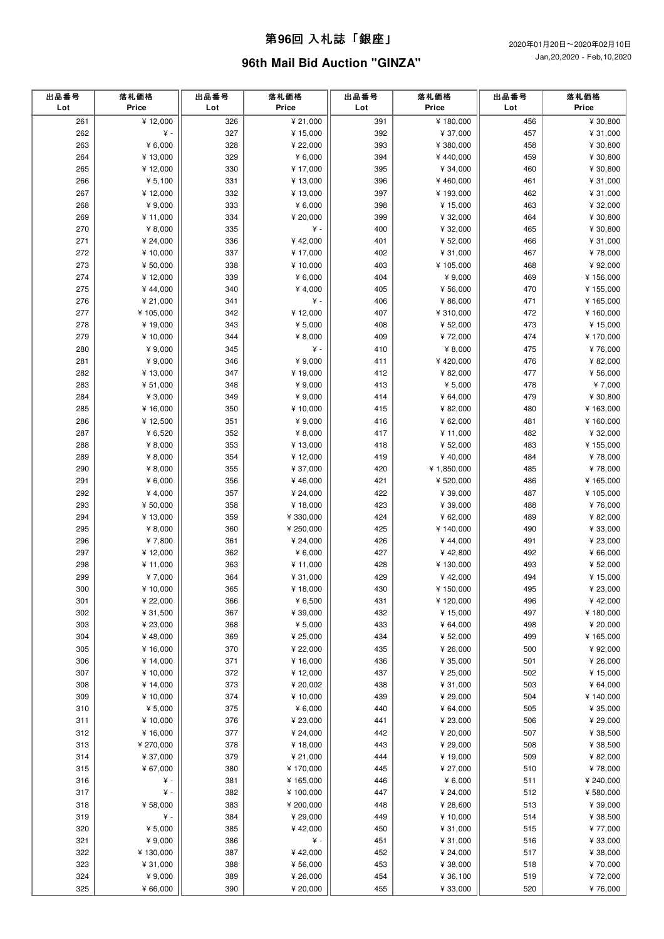### 第**96**回 ⼊札誌「銀座」

# **96th Mail Bid Auction "GINZA"**

| ¥12,000<br>¥ 21,000<br>261<br>326<br>391<br>¥180,000<br>456<br>327<br>392<br>262<br>¥ -<br>¥ 15,000<br>¥ 37,000<br>457<br>263<br>328<br>393<br>¥ $6,000$<br>¥ 22,000<br>¥ 380,000<br>458<br>329<br>459<br>264<br>¥ 13,000<br>¥ 6,000<br>394<br>¥440,000<br>265<br>¥12,000<br>330<br>¥ 17,000<br>395<br>¥ 34,000<br>460<br>266<br>¥ $5,100$<br>331<br>396<br>¥13,000<br>¥460,000<br>461<br>267<br>¥12,000<br>332<br>¥13,000<br>397<br>¥193,000<br>462<br>¥ $9,000$<br>333<br>¥ $6,000$<br>398<br>268<br>¥ 15,000<br>463<br>269<br>399<br>¥11,000<br>334<br>¥ 20,000<br>¥ 32,000<br>464<br>270<br>¥ -<br>¥ $8,000$<br>335<br>400<br>¥ 32,000<br>465<br>271<br>¥ 24,000<br>336<br>¥42,000<br>401<br>¥ 52,000<br>466<br>272<br>337<br>¥ 17,000<br>402<br>467<br>¥10,000<br>¥ 31,000<br>273<br>¥ 50,000<br>338<br>¥ 10,000<br>403<br>¥105,000<br>468<br>274<br>339<br>¥ $6,000$<br>¥12,000<br>404<br>¥9,000<br>469<br>¥4,000<br>275<br>¥44,000<br>340<br>405<br>¥ 56,000<br>470<br>276<br>¥ 21,000<br>341<br>¥ -<br>406<br>¥ 86,000<br>471<br>277<br>¥ 105,000<br>342<br>¥12,000<br>407<br>¥ 310,000<br>472<br>278<br>¥19,000<br>343<br>¥ 5,000<br>408<br>¥ 52,000<br>473<br>279<br>¥ 10,000<br>344<br>¥ 8,000<br>409<br>¥72,000<br>474<br>¥ $9,000$<br>¥ -<br>280<br>345<br>410<br>¥ 8,000<br>475<br>281<br>¥ 9,000<br>346<br>¥ 9,000<br>¥420,000<br>476<br>411<br>282<br>347<br>477<br>¥ 13,000<br>¥19,000<br>412<br>¥ 82,000<br>283<br>¥ 51,000<br>348<br>¥ 9,000<br>413<br>¥ 5,000<br>478<br>284<br>¥ 3,000<br>349<br>¥ 9,000<br>414<br>¥ 64,000<br>479<br>285<br>¥ 16,000<br>350<br>¥10,000<br>415<br>¥ 82,000<br>480<br>286<br>¥12,500<br>351<br>¥ 9,000<br>416<br>¥ 62,000<br>481<br>287<br>¥ 6,520<br>352<br>¥ 8,000<br>417<br>¥ 11,000<br>482<br>288<br>¥ $8,000$<br>353<br>¥ 13,000<br>418<br>¥ 52,000<br>483<br>289<br>¥ $8,000$<br>354<br>¥12,000<br>419<br>¥40,000<br>484<br>290<br>¥ $8,000$<br>355<br>¥ 37,000<br>420<br>¥ 1,850,000<br>485<br>291<br>¥ $6,000$<br>356<br>¥46,000<br>421<br>486<br>¥ 520,000 | Price                |
|------------------------------------------------------------------------------------------------------------------------------------------------------------------------------------------------------------------------------------------------------------------------------------------------------------------------------------------------------------------------------------------------------------------------------------------------------------------------------------------------------------------------------------------------------------------------------------------------------------------------------------------------------------------------------------------------------------------------------------------------------------------------------------------------------------------------------------------------------------------------------------------------------------------------------------------------------------------------------------------------------------------------------------------------------------------------------------------------------------------------------------------------------------------------------------------------------------------------------------------------------------------------------------------------------------------------------------------------------------------------------------------------------------------------------------------------------------------------------------------------------------------------------------------------------------------------------------------------------------------------------------------------------------------------------------------------------------------------------------------------------------------------------------------------------------------------------------------------------------------------------------------------------------------------------------------------------------------------------------------------------------------------|----------------------|
|                                                                                                                                                                                                                                                                                                                                                                                                                                                                                                                                                                                                                                                                                                                                                                                                                                                                                                                                                                                                                                                                                                                                                                                                                                                                                                                                                                                                                                                                                                                                                                                                                                                                                                                                                                                                                                                                                                                                                                                                                        | ¥ 30,800             |
|                                                                                                                                                                                                                                                                                                                                                                                                                                                                                                                                                                                                                                                                                                                                                                                                                                                                                                                                                                                                                                                                                                                                                                                                                                                                                                                                                                                                                                                                                                                                                                                                                                                                                                                                                                                                                                                                                                                                                                                                                        | ¥ 31,000             |
|                                                                                                                                                                                                                                                                                                                                                                                                                                                                                                                                                                                                                                                                                                                                                                                                                                                                                                                                                                                                                                                                                                                                                                                                                                                                                                                                                                                                                                                                                                                                                                                                                                                                                                                                                                                                                                                                                                                                                                                                                        | ¥ 30,800             |
|                                                                                                                                                                                                                                                                                                                                                                                                                                                                                                                                                                                                                                                                                                                                                                                                                                                                                                                                                                                                                                                                                                                                                                                                                                                                                                                                                                                                                                                                                                                                                                                                                                                                                                                                                                                                                                                                                                                                                                                                                        | ¥ 30,800             |
|                                                                                                                                                                                                                                                                                                                                                                                                                                                                                                                                                                                                                                                                                                                                                                                                                                                                                                                                                                                                                                                                                                                                                                                                                                                                                                                                                                                                                                                                                                                                                                                                                                                                                                                                                                                                                                                                                                                                                                                                                        | ¥ 30,800             |
|                                                                                                                                                                                                                                                                                                                                                                                                                                                                                                                                                                                                                                                                                                                                                                                                                                                                                                                                                                                                                                                                                                                                                                                                                                                                                                                                                                                                                                                                                                                                                                                                                                                                                                                                                                                                                                                                                                                                                                                                                        | ¥ 31,000             |
|                                                                                                                                                                                                                                                                                                                                                                                                                                                                                                                                                                                                                                                                                                                                                                                                                                                                                                                                                                                                                                                                                                                                                                                                                                                                                                                                                                                                                                                                                                                                                                                                                                                                                                                                                                                                                                                                                                                                                                                                                        | ¥ 31,000             |
|                                                                                                                                                                                                                                                                                                                                                                                                                                                                                                                                                                                                                                                                                                                                                                                                                                                                                                                                                                                                                                                                                                                                                                                                                                                                                                                                                                                                                                                                                                                                                                                                                                                                                                                                                                                                                                                                                                                                                                                                                        | ¥ 32,000<br>¥ 30,800 |
|                                                                                                                                                                                                                                                                                                                                                                                                                                                                                                                                                                                                                                                                                                                                                                                                                                                                                                                                                                                                                                                                                                                                                                                                                                                                                                                                                                                                                                                                                                                                                                                                                                                                                                                                                                                                                                                                                                                                                                                                                        | ¥ 30,800             |
|                                                                                                                                                                                                                                                                                                                                                                                                                                                                                                                                                                                                                                                                                                                                                                                                                                                                                                                                                                                                                                                                                                                                                                                                                                                                                                                                                                                                                                                                                                                                                                                                                                                                                                                                                                                                                                                                                                                                                                                                                        | ¥ 31,000             |
|                                                                                                                                                                                                                                                                                                                                                                                                                                                                                                                                                                                                                                                                                                                                                                                                                                                                                                                                                                                                                                                                                                                                                                                                                                                                                                                                                                                                                                                                                                                                                                                                                                                                                                                                                                                                                                                                                                                                                                                                                        | ¥78,000              |
|                                                                                                                                                                                                                                                                                                                                                                                                                                                                                                                                                                                                                                                                                                                                                                                                                                                                                                                                                                                                                                                                                                                                                                                                                                                                                                                                                                                                                                                                                                                                                                                                                                                                                                                                                                                                                                                                                                                                                                                                                        | ¥ 92,000             |
|                                                                                                                                                                                                                                                                                                                                                                                                                                                                                                                                                                                                                                                                                                                                                                                                                                                                                                                                                                                                                                                                                                                                                                                                                                                                                                                                                                                                                                                                                                                                                                                                                                                                                                                                                                                                                                                                                                                                                                                                                        | ¥156,000             |
|                                                                                                                                                                                                                                                                                                                                                                                                                                                                                                                                                                                                                                                                                                                                                                                                                                                                                                                                                                                                                                                                                                                                                                                                                                                                                                                                                                                                                                                                                                                                                                                                                                                                                                                                                                                                                                                                                                                                                                                                                        | ¥ 155,000            |
|                                                                                                                                                                                                                                                                                                                                                                                                                                                                                                                                                                                                                                                                                                                                                                                                                                                                                                                                                                                                                                                                                                                                                                                                                                                                                                                                                                                                                                                                                                                                                                                                                                                                                                                                                                                                                                                                                                                                                                                                                        | ¥ 165,000            |
|                                                                                                                                                                                                                                                                                                                                                                                                                                                                                                                                                                                                                                                                                                                                                                                                                                                                                                                                                                                                                                                                                                                                                                                                                                                                                                                                                                                                                                                                                                                                                                                                                                                                                                                                                                                                                                                                                                                                                                                                                        | ¥160,000             |
|                                                                                                                                                                                                                                                                                                                                                                                                                                                                                                                                                                                                                                                                                                                                                                                                                                                                                                                                                                                                                                                                                                                                                                                                                                                                                                                                                                                                                                                                                                                                                                                                                                                                                                                                                                                                                                                                                                                                                                                                                        | ¥ 15,000             |
|                                                                                                                                                                                                                                                                                                                                                                                                                                                                                                                                                                                                                                                                                                                                                                                                                                                                                                                                                                                                                                                                                                                                                                                                                                                                                                                                                                                                                                                                                                                                                                                                                                                                                                                                                                                                                                                                                                                                                                                                                        | ¥ 170,000            |
|                                                                                                                                                                                                                                                                                                                                                                                                                                                                                                                                                                                                                                                                                                                                                                                                                                                                                                                                                                                                                                                                                                                                                                                                                                                                                                                                                                                                                                                                                                                                                                                                                                                                                                                                                                                                                                                                                                                                                                                                                        | ¥76,000              |
|                                                                                                                                                                                                                                                                                                                                                                                                                                                                                                                                                                                                                                                                                                                                                                                                                                                                                                                                                                                                                                                                                                                                                                                                                                                                                                                                                                                                                                                                                                                                                                                                                                                                                                                                                                                                                                                                                                                                                                                                                        | ¥ 82,000             |
|                                                                                                                                                                                                                                                                                                                                                                                                                                                                                                                                                                                                                                                                                                                                                                                                                                                                                                                                                                                                                                                                                                                                                                                                                                                                                                                                                                                                                                                                                                                                                                                                                                                                                                                                                                                                                                                                                                                                                                                                                        | ¥ 56,000             |
|                                                                                                                                                                                                                                                                                                                                                                                                                                                                                                                                                                                                                                                                                                                                                                                                                                                                                                                                                                                                                                                                                                                                                                                                                                                                                                                                                                                                                                                                                                                                                                                                                                                                                                                                                                                                                                                                                                                                                                                                                        | ¥7,000               |
|                                                                                                                                                                                                                                                                                                                                                                                                                                                                                                                                                                                                                                                                                                                                                                                                                                                                                                                                                                                                                                                                                                                                                                                                                                                                                                                                                                                                                                                                                                                                                                                                                                                                                                                                                                                                                                                                                                                                                                                                                        | ¥ 30,800             |
|                                                                                                                                                                                                                                                                                                                                                                                                                                                                                                                                                                                                                                                                                                                                                                                                                                                                                                                                                                                                                                                                                                                                                                                                                                                                                                                                                                                                                                                                                                                                                                                                                                                                                                                                                                                                                                                                                                                                                                                                                        | ¥163,000<br>¥160,000 |
|                                                                                                                                                                                                                                                                                                                                                                                                                                                                                                                                                                                                                                                                                                                                                                                                                                                                                                                                                                                                                                                                                                                                                                                                                                                                                                                                                                                                                                                                                                                                                                                                                                                                                                                                                                                                                                                                                                                                                                                                                        | ¥ 32,000             |
|                                                                                                                                                                                                                                                                                                                                                                                                                                                                                                                                                                                                                                                                                                                                                                                                                                                                                                                                                                                                                                                                                                                                                                                                                                                                                                                                                                                                                                                                                                                                                                                                                                                                                                                                                                                                                                                                                                                                                                                                                        | ¥ 155,000            |
|                                                                                                                                                                                                                                                                                                                                                                                                                                                                                                                                                                                                                                                                                                                                                                                                                                                                                                                                                                                                                                                                                                                                                                                                                                                                                                                                                                                                                                                                                                                                                                                                                                                                                                                                                                                                                                                                                                                                                                                                                        | ¥78,000              |
|                                                                                                                                                                                                                                                                                                                                                                                                                                                                                                                                                                                                                                                                                                                                                                                                                                                                                                                                                                                                                                                                                                                                                                                                                                                                                                                                                                                                                                                                                                                                                                                                                                                                                                                                                                                                                                                                                                                                                                                                                        | ¥78,000              |
|                                                                                                                                                                                                                                                                                                                                                                                                                                                                                                                                                                                                                                                                                                                                                                                                                                                                                                                                                                                                                                                                                                                                                                                                                                                                                                                                                                                                                                                                                                                                                                                                                                                                                                                                                                                                                                                                                                                                                                                                                        | ¥ 165,000            |
| 292<br>357<br>487<br>¥ 4,000<br>¥ 24,000<br>422<br>¥ 39,000                                                                                                                                                                                                                                                                                                                                                                                                                                                                                                                                                                                                                                                                                                                                                                                                                                                                                                                                                                                                                                                                                                                                                                                                                                                                                                                                                                                                                                                                                                                                                                                                                                                                                                                                                                                                                                                                                                                                                            | ¥ 105,000            |
| 293<br>423<br>¥ 50,000<br>358<br>¥18,000<br>¥ 39,000<br>488                                                                                                                                                                                                                                                                                                                                                                                                                                                                                                                                                                                                                                                                                                                                                                                                                                                                                                                                                                                                                                                                                                                                                                                                                                                                                                                                                                                                                                                                                                                                                                                                                                                                                                                                                                                                                                                                                                                                                            | ¥76,000              |
| 294<br>¥ 13,000<br>359<br>¥ 330,000<br>424<br>¥ 62,000<br>489                                                                                                                                                                                                                                                                                                                                                                                                                                                                                                                                                                                                                                                                                                                                                                                                                                                                                                                                                                                                                                                                                                                                                                                                                                                                                                                                                                                                                                                                                                                                                                                                                                                                                                                                                                                                                                                                                                                                                          | ¥ 82,000             |
| 295<br>¥ $8,000$<br>360<br>¥ 250,000<br>425<br>490<br>¥140,000                                                                                                                                                                                                                                                                                                                                                                                                                                                                                                                                                                                                                                                                                                                                                                                                                                                                                                                                                                                                                                                                                                                                                                                                                                                                                                                                                                                                                                                                                                                                                                                                                                                                                                                                                                                                                                                                                                                                                         | ¥ 33,000             |
| 296<br>¥7,800<br>361<br>¥ 24,000<br>426<br>¥44,000<br>491                                                                                                                                                                                                                                                                                                                                                                                                                                                                                                                                                                                                                                                                                                                                                                                                                                                                                                                                                                                                                                                                                                                                                                                                                                                                                                                                                                                                                                                                                                                                                                                                                                                                                                                                                                                                                                                                                                                                                              | ¥ 23,000             |
| 297<br>¥12,000<br>362<br>¥ 6,000<br>427<br>¥42,800<br>492                                                                                                                                                                                                                                                                                                                                                                                                                                                                                                                                                                                                                                                                                                                                                                                                                                                                                                                                                                                                                                                                                                                                                                                                                                                                                                                                                                                                                                                                                                                                                                                                                                                                                                                                                                                                                                                                                                                                                              | ¥ 66,000             |
| 298<br>¥ 11,000<br>363<br>¥11,000<br>428<br>¥ 130,000<br>493                                                                                                                                                                                                                                                                                                                                                                                                                                                                                                                                                                                                                                                                                                                                                                                                                                                                                                                                                                                                                                                                                                                                                                                                                                                                                                                                                                                                                                                                                                                                                                                                                                                                                                                                                                                                                                                                                                                                                           | ¥ 52,000             |
| ¥7,000<br>299<br>364<br>¥ 31,000<br>429<br>¥42,000<br>494                                                                                                                                                                                                                                                                                                                                                                                                                                                                                                                                                                                                                                                                                                                                                                                                                                                                                                                                                                                                                                                                                                                                                                                                                                                                                                                                                                                                                                                                                                                                                                                                                                                                                                                                                                                                                                                                                                                                                              | ¥ 15,000             |
| 365<br>430<br>495<br>300<br>¥10,000<br>¥18,000<br>¥150,000                                                                                                                                                                                                                                                                                                                                                                                                                                                                                                                                                                                                                                                                                                                                                                                                                                                                                                                                                                                                                                                                                                                                                                                                                                                                                                                                                                                                                                                                                                                                                                                                                                                                                                                                                                                                                                                                                                                                                             | ¥ 23,000             |
| 301<br>¥ 22,000<br>366<br>¥ 6,500<br>431<br>¥120,000<br>496<br>367<br>302<br>¥ 31,500<br>432<br>¥ 15,000<br>497                                                                                                                                                                                                                                                                                                                                                                                                                                                                                                                                                                                                                                                                                                                                                                                                                                                                                                                                                                                                                                                                                                                                                                                                                                                                                                                                                                                                                                                                                                                                                                                                                                                                                                                                                                                                                                                                                                        | ¥42,000<br>¥180,000  |
| ¥ 39,000<br>303<br>¥ 23,000<br>368<br>¥ 5,000<br>433<br>¥ 64,000<br>498                                                                                                                                                                                                                                                                                                                                                                                                                                                                                                                                                                                                                                                                                                                                                                                                                                                                                                                                                                                                                                                                                                                                                                                                                                                                                                                                                                                                                                                                                                                                                                                                                                                                                                                                                                                                                                                                                                                                                | ¥ 20,000             |
| 304<br>¥48,000<br>369<br>¥ 25,000<br>434<br>¥ 52,000<br>499                                                                                                                                                                                                                                                                                                                                                                                                                                                                                                                                                                                                                                                                                                                                                                                                                                                                                                                                                                                                                                                                                                                                                                                                                                                                                                                                                                                                                                                                                                                                                                                                                                                                                                                                                                                                                                                                                                                                                            | ¥ 165,000            |
| 305<br>¥ 16,000<br>370<br>¥ 22,000<br>435<br>¥ 26,000<br>500                                                                                                                                                                                                                                                                                                                                                                                                                                                                                                                                                                                                                                                                                                                                                                                                                                                                                                                                                                                                                                                                                                                                                                                                                                                                                                                                                                                                                                                                                                                                                                                                                                                                                                                                                                                                                                                                                                                                                           | ¥ 92,000             |
| 306<br>371<br>436<br>501<br>¥ 14,000<br>¥ 16,000<br>¥ 35,000                                                                                                                                                                                                                                                                                                                                                                                                                                                                                                                                                                                                                                                                                                                                                                                                                                                                                                                                                                                                                                                                                                                                                                                                                                                                                                                                                                                                                                                                                                                                                                                                                                                                                                                                                                                                                                                                                                                                                           | ¥ 26,000             |
| 372<br>437<br>307<br>¥ 10,000<br>¥ 12,000<br>¥ 25,000<br>502                                                                                                                                                                                                                                                                                                                                                                                                                                                                                                                                                                                                                                                                                                                                                                                                                                                                                                                                                                                                                                                                                                                                                                                                                                                                                                                                                                                                                                                                                                                                                                                                                                                                                                                                                                                                                                                                                                                                                           | ¥ 15,000             |
| 308<br>¥ 14,000<br>373<br>¥ 20,002<br>438<br>¥ 31,000<br>503                                                                                                                                                                                                                                                                                                                                                                                                                                                                                                                                                                                                                                                                                                                                                                                                                                                                                                                                                                                                                                                                                                                                                                                                                                                                                                                                                                                                                                                                                                                                                                                                                                                                                                                                                                                                                                                                                                                                                           | ¥ 64,000             |
| 309<br>¥ 10,000<br>374<br>¥ 10,000<br>439<br>¥ 29,000<br>504                                                                                                                                                                                                                                                                                                                                                                                                                                                                                                                                                                                                                                                                                                                                                                                                                                                                                                                                                                                                                                                                                                                                                                                                                                                                                                                                                                                                                                                                                                                                                                                                                                                                                                                                                                                                                                                                                                                                                           | ¥ 140,000            |
| 310<br>¥ $5,000$<br>375<br>¥ 6,000<br>440<br>¥ 64,000<br>505                                                                                                                                                                                                                                                                                                                                                                                                                                                                                                                                                                                                                                                                                                                                                                                                                                                                                                                                                                                                                                                                                                                                                                                                                                                                                                                                                                                                                                                                                                                                                                                                                                                                                                                                                                                                                                                                                                                                                           | ¥ 35,000             |
| 311<br>¥ 10,000<br>376<br>¥ 23,000<br>441<br>¥ 23,000<br>506                                                                                                                                                                                                                                                                                                                                                                                                                                                                                                                                                                                                                                                                                                                                                                                                                                                                                                                                                                                                                                                                                                                                                                                                                                                                                                                                                                                                                                                                                                                                                                                                                                                                                                                                                                                                                                                                                                                                                           | ¥ 29,000             |
| 377<br>312<br>¥ 16,000<br>¥ 24,000<br>442<br>¥ 20,000<br>507                                                                                                                                                                                                                                                                                                                                                                                                                                                                                                                                                                                                                                                                                                                                                                                                                                                                                                                                                                                                                                                                                                                                                                                                                                                                                                                                                                                                                                                                                                                                                                                                                                                                                                                                                                                                                                                                                                                                                           | ¥ 38,500             |
| 313<br>¥ 270,000<br>378<br>¥ 18,000<br>443<br>¥ 29,000<br>508                                                                                                                                                                                                                                                                                                                                                                                                                                                                                                                                                                                                                                                                                                                                                                                                                                                                                                                                                                                                                                                                                                                                                                                                                                                                                                                                                                                                                                                                                                                                                                                                                                                                                                                                                                                                                                                                                                                                                          | ¥ 38,500             |
| 314<br>¥ 37,000<br>379<br>¥ 21,000<br>444<br>¥ 19,000<br>509                                                                                                                                                                                                                                                                                                                                                                                                                                                                                                                                                                                                                                                                                                                                                                                                                                                                                                                                                                                                                                                                                                                                                                                                                                                                                                                                                                                                                                                                                                                                                                                                                                                                                                                                                                                                                                                                                                                                                           | ¥ 82,000             |
| 315<br>¥ 67,000<br>380<br>¥ 170,000<br>445<br>¥ 27,000<br>510                                                                                                                                                                                                                                                                                                                                                                                                                                                                                                                                                                                                                                                                                                                                                                                                                                                                                                                                                                                                                                                                                                                                                                                                                                                                                                                                                                                                                                                                                                                                                                                                                                                                                                                                                                                                                                                                                                                                                          | ¥78,000              |
| 316<br>¥ -<br>381<br>¥ 165,000<br>446<br>¥ $6,000$<br>511                                                                                                                                                                                                                                                                                                                                                                                                                                                                                                                                                                                                                                                                                                                                                                                                                                                                                                                                                                                                                                                                                                                                                                                                                                                                                                                                                                                                                                                                                                                                                                                                                                                                                                                                                                                                                                                                                                                                                              | ¥ 240,000            |
| ¥ -<br>447<br>317<br>382<br>¥ 100,000<br>¥ 24,000<br>512                                                                                                                                                                                                                                                                                                                                                                                                                                                                                                                                                                                                                                                                                                                                                                                                                                                                                                                                                                                                                                                                                                                                                                                                                                                                                                                                                                                                                                                                                                                                                                                                                                                                                                                                                                                                                                                                                                                                                               | ¥ 580,000            |
| 318<br>¥ 58,000<br>383<br>¥ 200,000<br>¥ 28,600<br>513<br>448<br>319<br>¥ -<br>384<br>¥ 29,000<br>449<br>¥ 10,000<br>514                                                                                                                                                                                                                                                                                                                                                                                                                                                                                                                                                                                                                                                                                                                                                                                                                                                                                                                                                                                                                                                                                                                                                                                                                                                                                                                                                                                                                                                                                                                                                                                                                                                                                                                                                                                                                                                                                               | ¥ 39,000<br>¥ 38,500 |
| 320<br>¥ $5,000$<br>385<br>¥42,000<br>450<br>¥ 31,000<br>515                                                                                                                                                                                                                                                                                                                                                                                                                                                                                                                                                                                                                                                                                                                                                                                                                                                                                                                                                                                                                                                                                                                                                                                                                                                                                                                                                                                                                                                                                                                                                                                                                                                                                                                                                                                                                                                                                                                                                           | ¥77,000              |
| $\yen$ -<br>321<br>¥ 9,000<br>386<br>451<br>¥ 31,000<br>516                                                                                                                                                                                                                                                                                                                                                                                                                                                                                                                                                                                                                                                                                                                                                                                                                                                                                                                                                                                                                                                                                                                                                                                                                                                                                                                                                                                                                                                                                                                                                                                                                                                                                                                                                                                                                                                                                                                                                            | ¥ 33,000             |
| 387<br>¥42,000<br>322<br>¥130,000<br>452<br>¥ 24,000<br>517                                                                                                                                                                                                                                                                                                                                                                                                                                                                                                                                                                                                                                                                                                                                                                                                                                                                                                                                                                                                                                                                                                                                                                                                                                                                                                                                                                                                                                                                                                                                                                                                                                                                                                                                                                                                                                                                                                                                                            | ¥ 38,000             |
| 323<br>¥ 31,000<br>388<br>¥ 56,000<br>453<br>¥ 38,000<br>518                                                                                                                                                                                                                                                                                                                                                                                                                                                                                                                                                                                                                                                                                                                                                                                                                                                                                                                                                                                                                                                                                                                                                                                                                                                                                                                                                                                                                                                                                                                                                                                                                                                                                                                                                                                                                                                                                                                                                           | ¥70,000              |
| 324<br>¥ 9,000<br>389<br>¥ 26,000<br>454<br>¥ 36,100<br>519                                                                                                                                                                                                                                                                                                                                                                                                                                                                                                                                                                                                                                                                                                                                                                                                                                                                                                                                                                                                                                                                                                                                                                                                                                                                                                                                                                                                                                                                                                                                                                                                                                                                                                                                                                                                                                                                                                                                                            | ¥72,000              |
| 325<br>¥ 66,000<br>390<br>¥ 20,000<br>455<br>¥ 33,000<br>520<br>¥76,000                                                                                                                                                                                                                                                                                                                                                                                                                                                                                                                                                                                                                                                                                                                                                                                                                                                                                                                                                                                                                                                                                                                                                                                                                                                                                                                                                                                                                                                                                                                                                                                                                                                                                                                                                                                                                                                                                                                                                |                      |